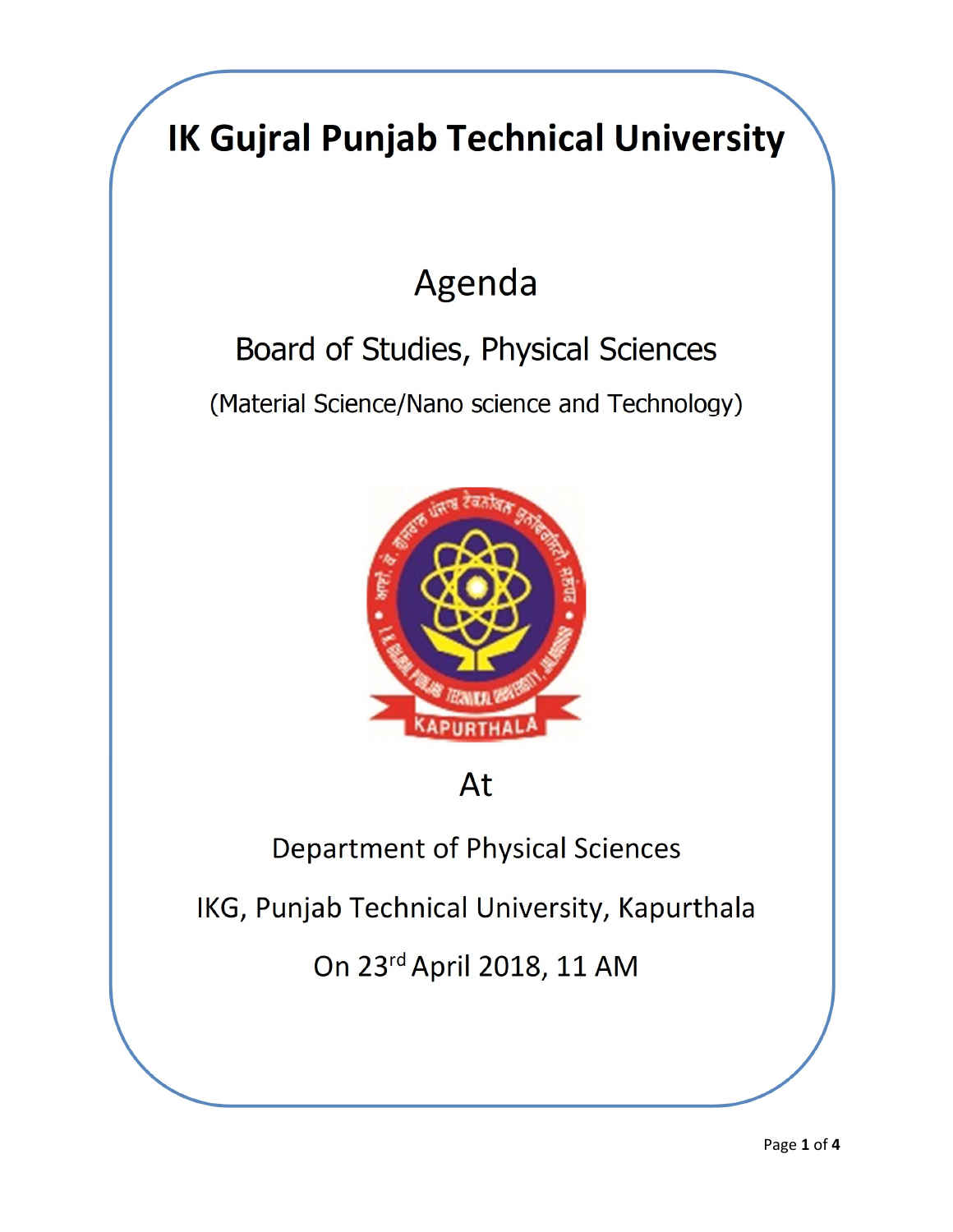## IK Gujral Punjab Technical University Agenda Board of Studies, Physical Sciences (Material Science/Nano science and Technology) At Department of Physical Sciences IKG, Punjab Technical University, Kapurthala On 23rd April 2018, 11 AM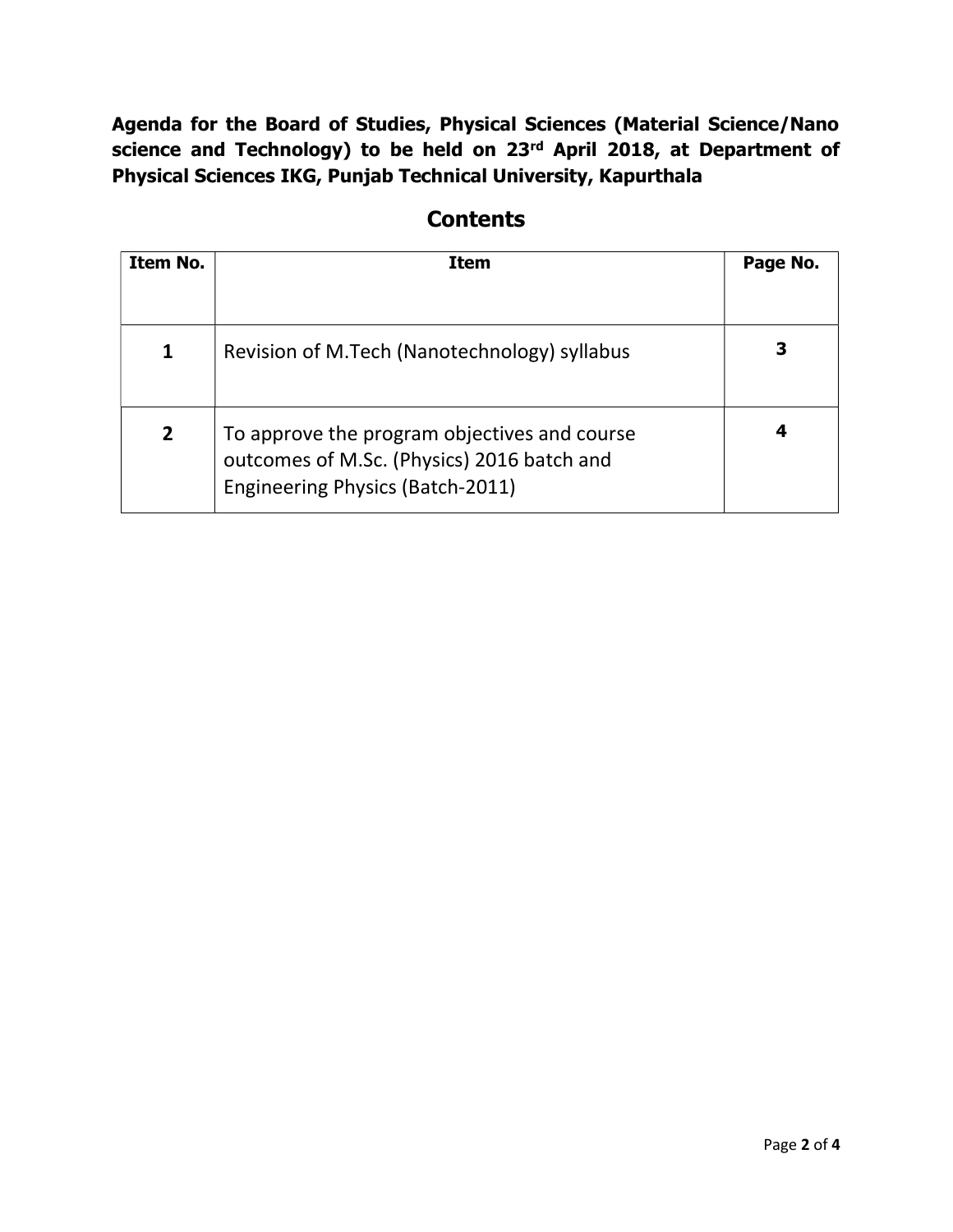Agenda for the Board of Studies, Physical Sciences (Material Science/Nano science and Technology) to be held on 23<sup>rd</sup> April 2018, at Department of Physical Sciences IKG, Punjab Technical University, Kapurthala

| Item No.       | <b>Item</b>                                                                                                                    | Page No. |
|----------------|--------------------------------------------------------------------------------------------------------------------------------|----------|
| 1              | Revision of M.Tech (Nanotechnology) syllabus                                                                                   |          |
| $\overline{2}$ | To approve the program objectives and course<br>outcomes of M.Sc. (Physics) 2016 batch and<br>Engineering Physics (Batch-2011) | 4        |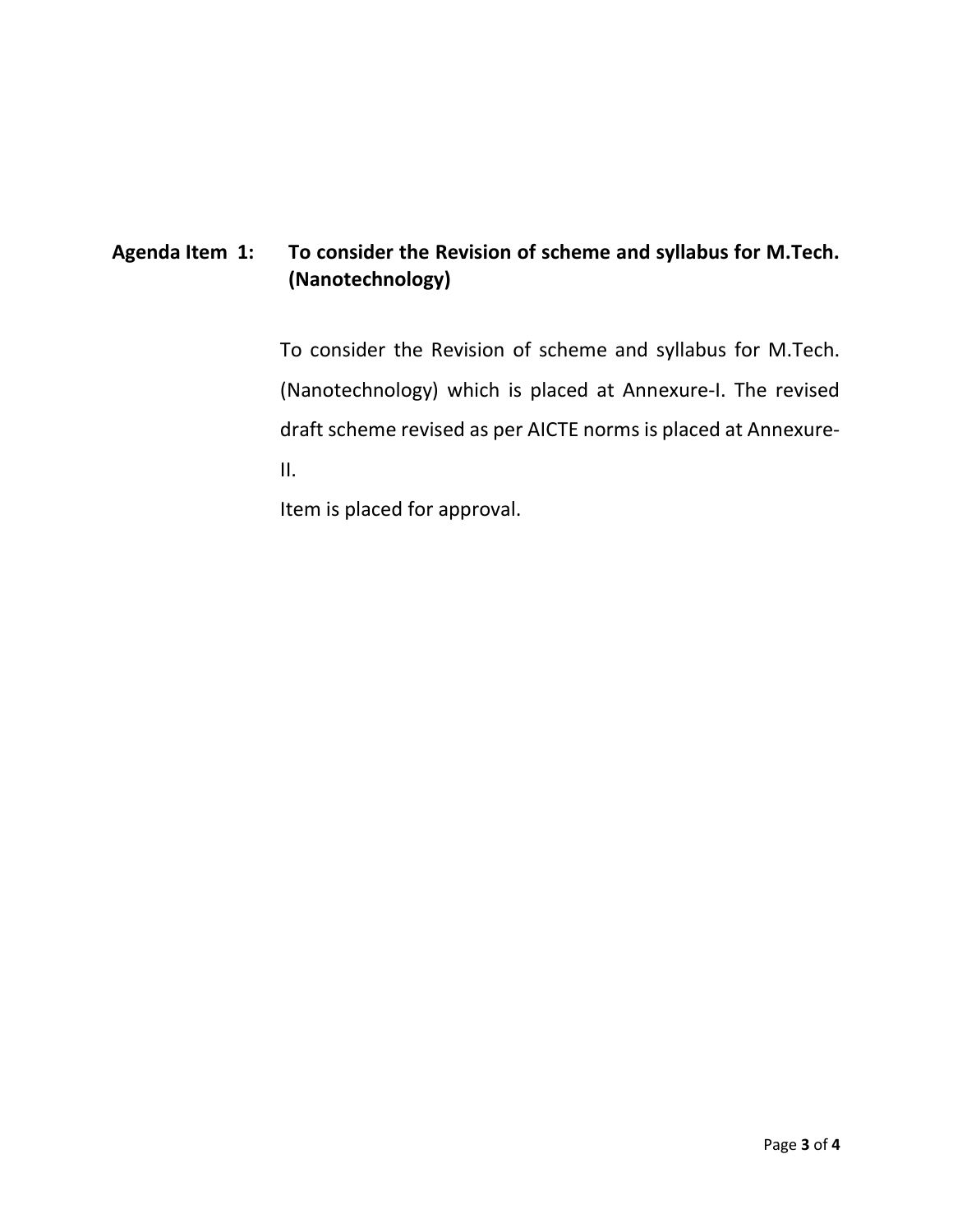## Agenda Item 1: To consider the Revision of scheme and syllabus for M.Tech. (Nanotechnology)

To consider the Revision of scheme and syllabus for M.Tech. (Nanotechnology) which is placed at Annexure-I. The revised draft scheme revised as per AICTE norms is placed at Annexure-II.

Item is placed for approval.